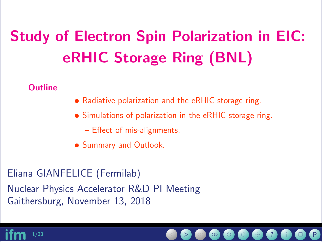# Study of Electron Spin Polarization in EIC: eRHIC Storage Ring (BNL)

**Outline** 

- Radiative polarization and the eRHIC storage ring.
- Simulations of polarization in the eRHIC storage ring.
	- Effect of mis-alignments.
- Summary and Outlook.

Eliana GIANFELICE (Fermilab) Nuclear Physics Accelerator R&D PI Meeting Gaithersburg, November 13, 2018

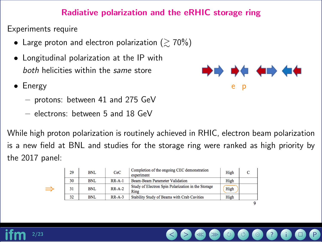#### Radiative polarization and the eRHIC storage ring

Experiments require

⇒

- Large proton and electron polarization ( $\geq 70\%$ )
- Longitudinal polarization at the IP with both helicities within the same store
- Energy
	- protons: between 41 and 275 GeV
	- electrons: between 5 and 18 GeV

While high proton polarization is routinely achieved in RHIC, electron beam polarization is a new field at BNL and studies for the storage ring were ranked as high priority by the 2017 panel:

| 29 | <b>BNL</b> | CeC      | Completion of the ongoing CEC demonstration<br>experiment  | High |  |
|----|------------|----------|------------------------------------------------------------|------|--|
| 30 | <b>BNL</b> | $RR-A-1$ | Beam-Beam Parameter Validation                             | High |  |
| 31 | <b>BNL</b> | $RR-A-2$ | Study of Electron Spin Polarization in the Storage<br>Ring | High |  |
| 32 | <b>BNL</b> | $RR-A-3$ | Stability Study of Beams with Crab Cavities                | High |  |
|    |            |          |                                                            |      |  |



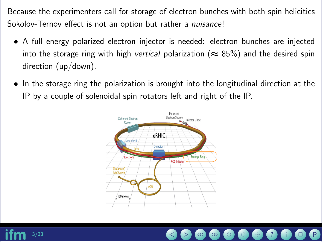Because the experimenters call for storage of electron bunches with both spin helicities Sokolov-Ternov effect is not an option but rather a *nuisance!* 

- A full energy polarized electron injector is needed: electron bunches are injected into the storage ring with high vertical polarization ( $\approx$  85%) and the desired spin direction (up/down).
- In the storage ring the polarization is brought into the longitudinal direction at the IP by a couple of solenoidal spin rotators left and right of the IP.



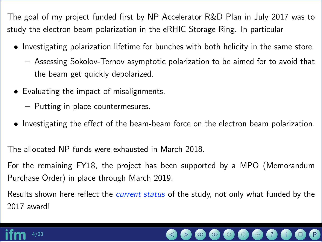The goal of my project funded first by NP Accelerator R&D Plan in July 2017 was to study the electron beam polarization in the eRHIC Storage Ring. In particular

- Investigating polarization lifetime for bunches with both helicity in the same store.
	- Assessing Sokolov-Ternov asymptotic polarization to be aimed for to avoid that the beam get quickly depolarized.
- Evaluating the impact of misalignments.
	- Putting in place countermesures.
- Investigating the effect of the beam-beam force on the electron beam polarization.

The allocated NP funds were exhausted in March 2018.

For the remaining FY18, the project has been supported by a MPO (Memorandum Purchase Order) in place through March 2019.

Results shown here reflect the *current status* of the study, not only what funded by the 2017 award!

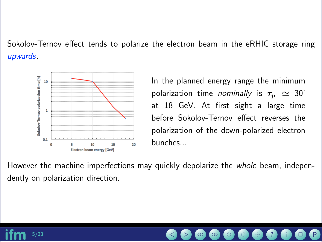Sokolov-Ternov effect tends to polarize the electron beam in the eRHIC storage ring upwards.



In the planned energy range the minimum polarization time *nominally* is  $\tau_p \simeq 30'$ at 18 GeV. At first sight a large time before Sokolov-Ternov effect reverses the polarization of the down-polarized electron bunches...

However the machine imperfections may quickly depolarize the *whole* beam, independently on polarization direction.

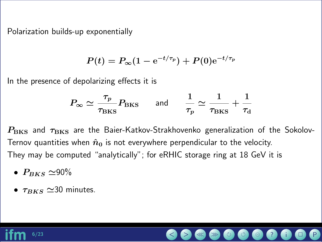Polarization builds-up exponentially

$$
P(t) = P_{\infty}(1 - e^{-t/\tau_p}) + P(0)e^{-t/\tau_p}
$$

In the presence of depolarizing effects it is

$$
P_{\infty} \simeq \frac{\tau_p}{\tau_{\rm BKS}} P_{\rm BKS} \quad \text{and} \quad \frac{1}{\tau_p} \simeq \frac{1}{\tau_{\rm BKS}} + \frac{1}{\tau_d}
$$

 $P_{\rm BKS}$  and  $\tau_{\rm BKS}$  are the Baier-Katkov-Strakhovenko generalization of the Sokolov-Ternov quantities when  $\hat{n}_0$  is not everywhere perpendicular to the velocity. They may be computed "analytically"; for eRHIC storage ring at 18 GeV it is

- $P_{BKS} \simeq 90\%$
- $\tau_{BKS} \simeq 30$  minutes.

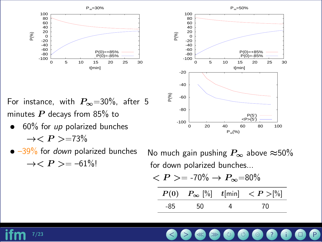

For instance, with  $P_{\infty}$ =30%, after 5 minutes  $P$  decays from 85% to

- $60\%$  for up polarized bunches  $\rightarrow < P > = 73\%$ 0% for *up* polarized bunches<br>
→  $\langle P \rangle$  = 73%<br>
9% for *down* polarized bunches Alo much ga<br>
→  $\langle P \rangle$  = -61%!<br>
for down polarized for down polarized
- $\bullet$   $-39\%$  for *down* polarized bunches



No much gain pushing  $P_{\infty}$  above  $\approx 50\%$ for down polarized bunches...

$$
\langle P \rangle = -70\% \to P_{\infty} = 80\%
$$
  

$$
\frac{P(0) \quad P_{\infty} \ [ \% ] \quad t[\min] \quad \langle P \rangle [ \% ]}{-85 \quad 50 \quad 4 \quad 70}
$$

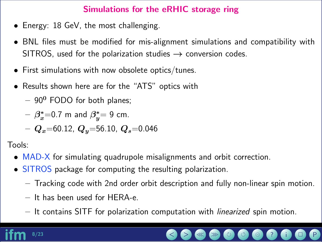## Simulations for the eRHIC storage ring

- Energy: 18 GeV, the most challenging.
- BNL files must be modified for mis-alignment simulations and compatibility with SITROS, used for the polarization studies  $\rightarrow$  conversion codes.
- First simulations with now obsolete optics/tunes.
- Results shown here are for the "ATS" optics with
	- $-90^0$  FODO for both planes;

$$
- \beta_x^* = 0.7 \text{ m and } \beta_y^* = 9 \text{ cm}.
$$

 $-Q_x$ =60.12,  $Q_y$ =56.10,  $Q_s$ =0.046

Tools:

- MAD-X for simulating quadrupole misalignments and orbit correction.
- SITROS package for computing the resulting polarization.
	- Tracking code with 2nd order orbit description and fully non-linear spin motion.
	- It has been used for HERA-e.
	- It contains SITF for polarization computation with linearized spin motion.

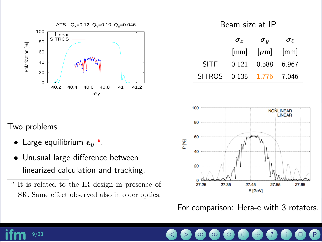



|                             | $\sigma_x$ | $\bm{\sigma_u}$                                             | $\sigma_{\ell}$ |
|-----------------------------|------------|-------------------------------------------------------------|-----------------|
|                             |            | $\lceil mm \rceil$ $\lceil \mu m \rceil$ $\lceil mm \rceil$ |                 |
| <b>SITF</b>                 |            | 0.121 0.588 6.967                                           |                 |
| SITROS  0.135  1.776  7.046 |            |                                                             |                 |

## Two problems

- L[a](#page-8-0)rge equilibrium  $\epsilon_y$ <sup>a</sup>.
- Unusual large difference between linearized calculation and tracking.

<span id="page-8-0"></span>a It is related to the IR design in presence of SR. Same effect observed also in older optics.



For comparison: Hera-e with 3 rotators.

9/23 < > ≪ ≫ ? i P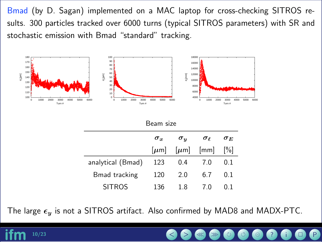Bmad (by D. Sagan) implemented on a MAC laptop for cross-checking SITROS results. 300 particles tracked over 6000 turns (typical SITROS parameters) with SR and stochastic emission with Bmad "standard" tracking.



| Beam size            |                         |                            |                 |                        |
|----------------------|-------------------------|----------------------------|-----------------|------------------------|
|                      | $\boldsymbol{\sigma_x}$ | $\bm{\sigma}_{\bm{y}}$     | $\sigma_{\ell}$ | $\bm{\sigma}_{\bm{E}}$ |
|                      |                         | $[\mu m]$ $[\mu m]$ $[mm]$ |                 | %                      |
| analytical (Bmad)    | 123                     | 0.4                        | $-7.0$          | 0.1                    |
| <b>Bmad tracking</b> | 120                     | 2.0                        | 6.7             | 0.1                    |
| <b>SITROS</b>        | 136                     | 1.8                        | 7.0             | $()$ ]                 |

The large  $\epsilon_y$  is not a SITROS artifact. Also confirmed by MAD8 and MADX-PTC.

10/23 < > ≪ ≫ ? i P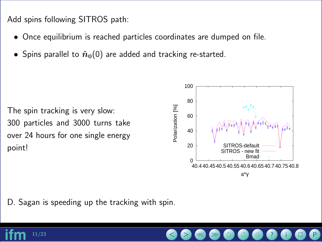Add spins following SITROS path:

- Once equilibrium is reached particles coordinates are dumped on file.
- Spins parallel to  $\hat{n}_0(0)$  are added and tracking re-started.

The spin tracking is very slow: 300 particles and 3000 turns take over 24 hours for one single energy point!



D. Sagan is speeding up the tracking with spin.

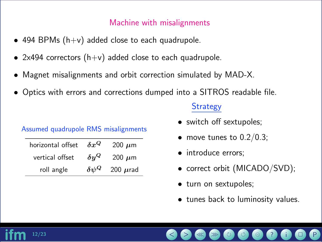#### Machine with misalignments

- 494 BPMs  $(h+v)$  added close to each quadrupole.
- 2x494 correctors  $(h+v)$  added close to each quadrupole.
- Magnet misalignments and orbit correction simulated by MAD-X.
- Optics with errors and corrections dumped into a SITROS readable file.

|  | Assumed quadrupole RMS misalignments |  |  |  |
|--|--------------------------------------|--|--|--|
|--|--------------------------------------|--|--|--|

| horizontal offset | $\delta x^Q$    | 200 $\mu$ m   |
|-------------------|-----------------|---------------|
| vertical offset   | $\delta y^Q$    | 200 $\mu$ m   |
| roll angle        | $\delta \psi^Q$ | 200 $\mu$ rad |

#### **Strategy**

- switch off sextupoles;
- move tunes to  $0.2/0.3$ ;
- introduce errors;
- correct orbit (MICADO/SVD);
- turn on sextupoles;
- tunes back to luminosity values.

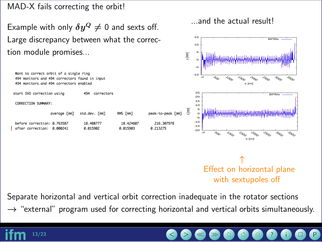MAD-X fails correcting the orbit!

Example with only  $\delta y^Q\neq 0$  and sexts off. Large discrepancy between what the correction module promises...

...and the actual result!



Separate horizontal and vertical orbit correction inadequate in the rotator sections

 $\rightarrow$  "external" program used for correcting horizontal and vertical orbits simultaneously.

13/23 < > ≪ ≫ ? i P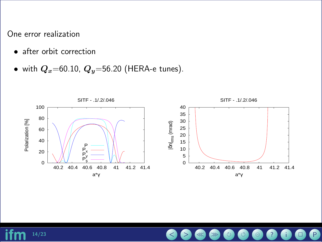One error realization

- after orbit correction
- with  $Q_x$ =60.10,  $Q_y$ =56.20 (HERA-e tunes).



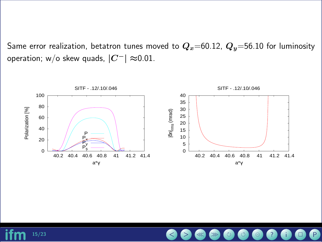Same error realization, betatron tunes moved to  $Q_x=60.12$ ,  $Q_y=56.10$  for luminosity operation; w/o skew quads,  $|C^-| \approx 0.01$ .



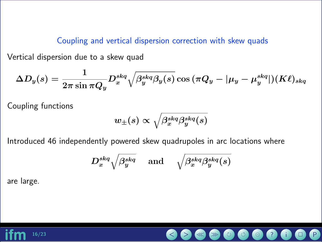Coupling and vertical dispersion correction with skew quads

Vertical dispersion due to a skew quad

$$
\Delta D_y(s)=\frac{1}{2\pi\sin\pi Q_y}D_x^{skq}\sqrt{\beta_y^{skq}\beta_y(s)}\cos{(\pi Q_y-|\mu_y-\mu_y^{skq}|)}(K\ell)_{skq}
$$

Coupling functions

$$
w_\pm(s) \propto \sqrt{\beta_x^{skq} \beta_y^{skq}(s)}
$$

Introduced 46 independently powered skew quadrupoles in arc locations where

$$
D_x^{skq} \sqrt{\beta_y^{skq}} \quad \text{ and } \quad \sqrt{\beta_x^{skq} \beta_y^{skq}(s)}
$$

are large.

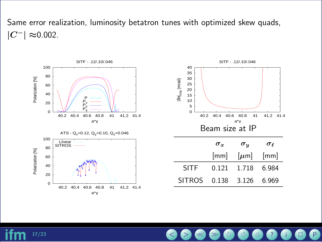Same error realization, luminosity betatron tunes with optimized skew quads,  $|C^-|$  ≈0.002.



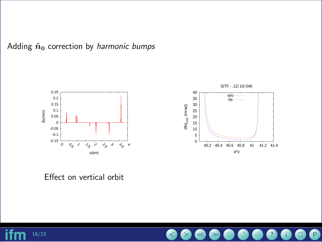Adding  $\hat{n}_0$  correction by *harmonic bumps* 



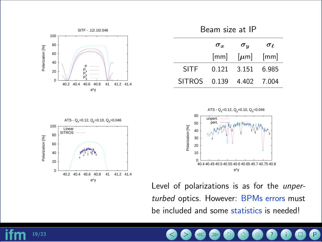

Beam size at IP

|                             | $\sigma_x$ | $\sigma_{u}$                                                | $\sigma_{\ell}$ |
|-----------------------------|------------|-------------------------------------------------------------|-----------------|
|                             |            | $\lceil mm \rceil$ $\lceil \mu m \rceil$ $\lceil mm \rceil$ |                 |
| SITF                        |            | 0.121 3.151 6.985                                           |                 |
| SITROS  0.139  4.402  7.004 |            |                                                             |                 |



Level of polarizations is as for the unperturbed optics. However: BPMs errors must be included and some statistics is needed!



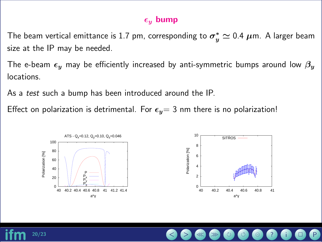#### $\epsilon_y$  bump

The beam vertical emittance is 1.7 pm, corresponding to  $\sigma^*_n$  $^*_y\simeq$  0.4  $\mu$ m. A larger beam size at the IP may be needed.

The e-beam  $\epsilon_y$  may be efficiently increased by anti-symmetric bumps around low  $\beta_y$ locations.

As a test such a bump has been introduced around the IP.

Effect on polarization is detrimental. For  $\epsilon_y=$  3 nm there is no polarization!



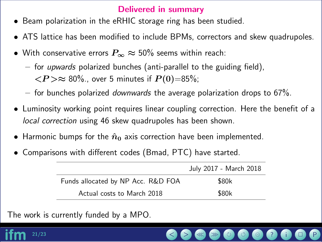#### Delivered in summary

- Beam polarization in the eRHIC storage ring has been studied.
- ATS lattice has been modified to include BPMs, correctors and skew quadrupoles.
- With conservative errors  $P_{\infty} \approx 50\%$  seems within reach:
	- $-$  for *upwards* polarized bunches (anti-parallel to the guiding field),  $< \hspace{-3pt} P \hspace{-3pt}> \approx 80\%$  , over 5 minutes if  $P(0){=}85\%$ ;
	- $-$  for bunches polarized *downwards* the average polarization drops to 67%.
- Luminosity working point requires linear coupling correction. Here the benefit of a local correction using 46 skew quadrupoles has been shown.
- $\bullet$  Harmonic bumps for the  $\hat{n}_0$  axis correction have been implemented.
- Comparisons with different codes (Bmad, PTC) have started.

|                                    | July 2017 - March 2018 |
|------------------------------------|------------------------|
| Funds allocated by NP Acc. R&D FOA | \$80k                  |
| Actual costs to March 2018         | \$80k                  |

The work is currently funded by a MPO.

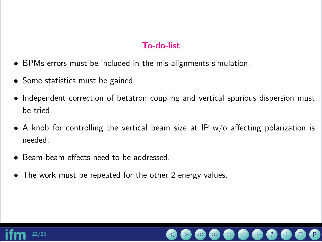### To-do-list

- BPMs errors must be included in the mis-alignments simulation.
- Some statistics must be gained.
- Independent correction of betatron coupling and vertical spurious dispersion must be tried.
- A knob for controlling the vertical beam size at IP  $w/o$  affecting polarization is needed.
- Beam-beam effects need to be addressed.
- The work must be repeated for the other 2 energy values.